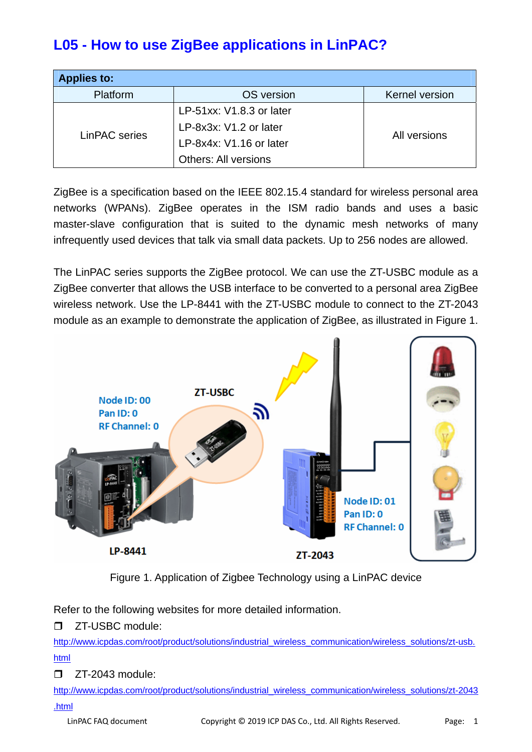# **L05 - How to use ZigBee applications in LinPAC?**

| <b>Applies to:</b> |                             |                       |  |  |
|--------------------|-----------------------------|-----------------------|--|--|
| Platform           | OS version                  | <b>Kernel version</b> |  |  |
| LinPAC series      | LP-51xx: V1.8.3 or later    |                       |  |  |
|                    | LP-8x3x: V1.2 or later      | All versions          |  |  |
|                    | LP-8x4x: V1.16 or later     |                       |  |  |
|                    | <b>Others: All versions</b> |                       |  |  |

ZigBee is a specification based on the IEEE 802.15.4 standard for wireless personal area networks (WPANs). ZigBee operates in the ISM radio bands and uses a basic master-slave configuration that is suited to the dynamic mesh networks of many infrequently used devices that talk via small data packets. Up to 256 nodes are allowed.

The LinPAC series supports the ZigBee protocol. We can use the ZT-USBC module as a ZigBee converter that allows the USB interface to be converted to a personal area ZigBee wireless network. Use the LP-8441 with the ZT-USBC module to connect to the ZT-2043 module as an example to demonstrate the application of ZigBee, as illustrated in Figure 1.



Figure 1. Application of Zigbee Technology using a LinPAC device

Refer to the following websites for more detailed information.

T ZT-USBC module:

[http://www.icpdas.com/root/product/solutions/industrial\\_wireless\\_communication/wireless\\_solutions/zt-usb.](http://www.icpdas.com/root/product/solutions/industrial_wireless_communication/wireless_solutions/zt-usb.html) [html](http://www.icpdas.com/root/product/solutions/industrial_wireless_communication/wireless_solutions/zt-usb.html)

 $\Box$  ZT-2043 module:

[http://www.icpdas.com/root/product/solutions/industrial\\_wireless\\_communication/wireless\\_solutions/zt-2043](http://www.icpdas.com/root/product/solutions/industrial_wireless_communication/wireless_solutions/zt-2043.html) [.html](http://www.icpdas.com/root/product/solutions/industrial_wireless_communication/wireless_solutions/zt-2043.html)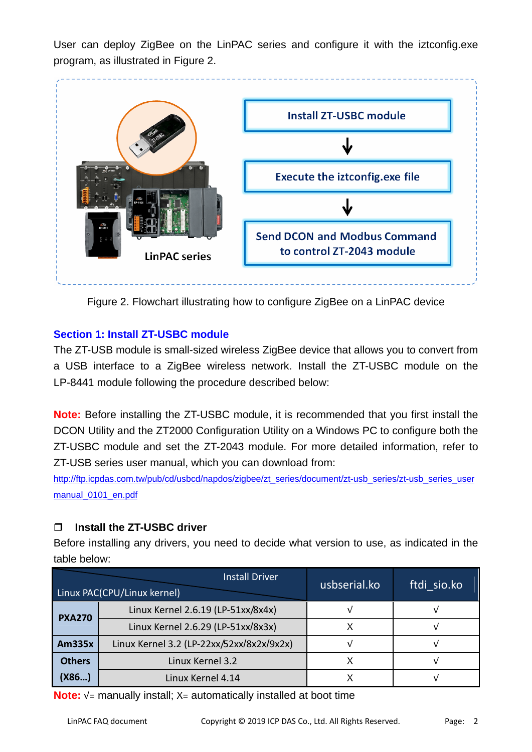User can deploy ZigBee on the LinPAC series and configure it with the iztconfig.exe program, as illustrated in Figure 2.



Figure 2. Flowchart illustrating how to configure ZigBee on a LinPAC device

## **Section 1: Install ZT-USBC module**

The ZT-USB module is small-sized wireless ZigBee device that allows you to convert from a USB interface to a ZigBee wireless network. Install the ZT-USBC module on the LP-8441 module following the procedure described below:

**Note:** Before installing the ZT-USBC module, it is recommended that you first install the DCON Utility and the ZT2000 Configuration Utility on a Windows PC to configure both the ZT-USBC module and set the ZT-2043 module. For more detailed information, refer to ZT-USB series user manual, which you can download from:

[http://ftp.icpdas.com.tw/pub/cd/usbcd/napdos/zigbee/zt\\_series/document/zt-usb\\_series/zt-usb\\_series\\_user](http://ftp.icpdas.com.tw/pub/cd/usbcd/napdos/zigbee/zt_series/document/zt-usb_series/zt-usb_series_usermanual_0101_en.pdf) [manual\\_0101\\_en.pdf](http://ftp.icpdas.com.tw/pub/cd/usbcd/napdos/zigbee/zt_series/document/zt-usb_series/zt-usb_series_usermanual_0101_en.pdf)

# **Install the ZT-USBC driver**

Before installing any drivers, you need to decide what version to use, as indicated in the table below:

|               | <b>Install Driver</b><br>Linux PAC(CPU/Linux kernel) | usbserial.ko | ftdi sio.ko |
|---------------|------------------------------------------------------|--------------|-------------|
| <b>PXA270</b> | Linux Kernel 2.6.19 (LP-51xx/8x4x)                   |              |             |
|               | Linux Kernel 2.6.29 (LP-51xx/8x3x)                   |              |             |
| <b>Am335x</b> | Linux Kernel 3.2 (LP-22xx/52xx/8x2x/9x2x)            |              |             |
| <b>Others</b> | Linux Kernel 3.2                                     |              |             |
| (X86)         | Linux Kernel 4.14                                    |              |             |

**Note:** √= manually install; X= automatically installed at boot time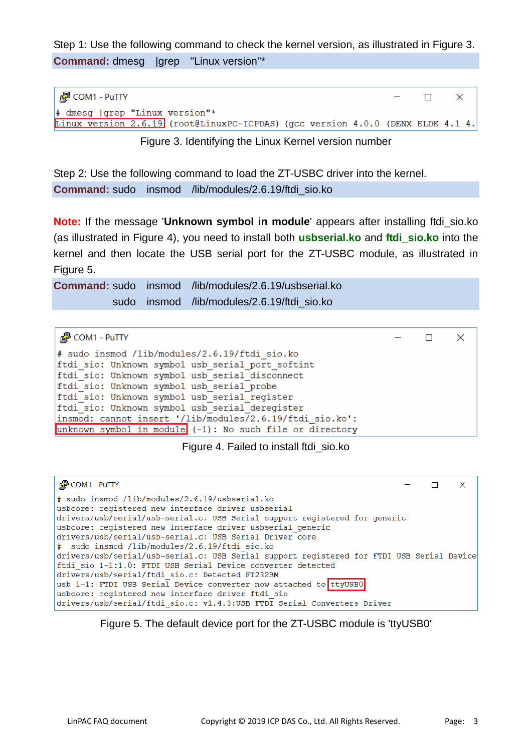Step 1: Use the following command to check the kernel version, as illustrated in Figure 3. **Command:** dmesg |grep "Linux version"\*

| $\frac{3}{2}$ COM1 - PuTTY                                                      | $ \qquad$ $\qquad$ $\qquad$ $\qquad$ $\qquad$ $\qquad$ $\qquad$ $\qquad$ $\qquad$ $\qquad$ $\qquad$ $\qquad$ $\qquad$ $\qquad$ $\qquad$ $\qquad$ $\qquad$ $\qquad$ $\qquad$ $\qquad$ $\qquad$ $\qquad$ $\qquad$ $\qquad$ $\qquad$ $\qquad$ $\qquad$ $\qquad$ $\qquad$ $\qquad$ $\qquad$ $\qquad$ $\qquad$ $\qquad$ $\qquad$ $\qquad$ |  |  |
|---------------------------------------------------------------------------------|--------------------------------------------------------------------------------------------------------------------------------------------------------------------------------------------------------------------------------------------------------------------------------------------------------------------------------------|--|--|
| $\#$ dmesg (grep "Linux version"*                                               |                                                                                                                                                                                                                                                                                                                                      |  |  |
| Linux version 2.6.19 (root@LinuxPC-ICPDAS) (gcc version 4.0.0 (DENX ELDK 4.1 4. |                                                                                                                                                                                                                                                                                                                                      |  |  |

Figure 3. Identifying the Linux Kernel version number

Step 2: Use the following command to load the ZT-USBC driver into the kernel. **Command:** sudo insmod /lib/modules/2.6.19/ftdi\_sio.ko

**Note:** If the message '**Unknown symbol in module**' appears after installing ftdi\_sio.ko (as illustrated in Figure 4), you need to install both **usbserial.ko** and **ftdi\_sio.ko** into the kernel and then locate the USB serial port for the ZT-USBC module, as illustrated in Figure 5.

**Command:** sudo insmod /lib/modules/2.6.19/usbserial.ko sudo insmod /lib/modules/2.6.19/ftdi\_sio.ko

| $\frac{1}{2}$ COM1 - PuTTY                                  |  |  |
|-------------------------------------------------------------|--|--|
| # sudo insmod /lib/modules/2.6.19/ftdi sio.ko               |  |  |
| ftdi sio: Unknown symbol usb serial port softint            |  |  |
| ftdi sio: Unknown symbol usb serial disconnect              |  |  |
| ftdi sio: Unknown symbol usb serial probe                   |  |  |
| ftdi sio: Unknown symbol usb serial register                |  |  |
| ftdi sio: Unknown symbol usb serial deregister              |  |  |
| insmod: cannot insert '/lib/modules/2.6.19/ftdi sio.ko':    |  |  |
| unknown symbol in module $(-1)$ : No such file or directory |  |  |

Figure 4. Failed to install ftdi\_sio.ko



Figure 5. The default device port for the ZT-USBC module is 'ttyUSB0'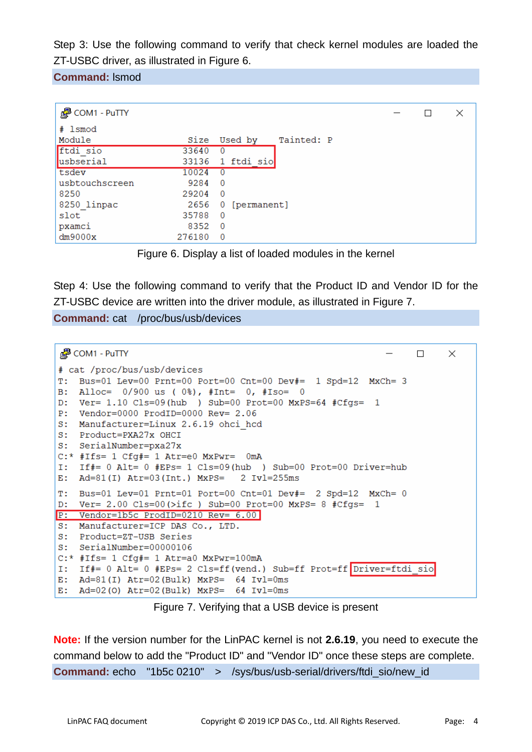Step 3: Use the following command to verify that check kernel modules are loaded the ZT-USBC driver, as illustrated in Figure 6.

**Command:** lsmod

| <b>P</b> COM1 - PuTTY |        |                       | × |
|-----------------------|--------|-----------------------|---|
| # 1smod               |        |                       |   |
| Module                | Size   | Tainted: P<br>Used by |   |
| ftdi sio              | 33640  | $\Omega$              |   |
| usbserial             | 33136  | 1 ftdi sio            |   |
| tsdev                 | 10024  | $\Omega$              |   |
| usbtouchscreen        | 9284   | $\overline{0}$        |   |
| 8250                  | 29204  | $\overline{0}$        |   |
| 8250 linpac           | 2656   | 0 [permanent]         |   |
| slot                  | 35788  | $\Omega$              |   |
| pxamci                | 8352   | - 0                   |   |
| dm9000x               | 276180 | $\overline{0}$        |   |



Step 4: Use the following command to verify that the Product ID and Vendor ID for the ZT-USBC device are written into the driver module, as illustrated in Figure 7.

**Command:** cat /proc/bus/usb/devices

```
图 COM1 - PuTTY
                                                                 \Box\times# cat /proc/bus/usb/devices
T: Bus=01 Lev=00 Prnt=00 Port=00 Cnt=00 Dev#= 1 Spd=12 MxCh= 3
B: Alloc= 0/900 us (0\), \#Int= 0, \#Iso= 0
D: Ver= 1.10 Cls=09(hub ) Sub=00 Prot=00 MxPS=64 #Cfgs= 1
P: Vendor=0000 ProdID=0000 Rev= 2.06
S: Manufacturer=Linux 2.6.19 ohci hcd
S: Product=PXA27x OHCI
S: SerialNumber=pxa27x
C: * #Ifs= 1 Cf#= 1 Atr=e0 MxPwr= 0mA
I: If#= 0 Alt= 0 #EPs= 1 Cls=09(hub ) Sub=00 Prot=00 Driver=hub
E: Ad=81(I) Atr=03(Int.) MxPS= 2 Ivl=255msT: Bus=01 Lev=01 Prnt=01 Port=00 Cnt=01 Dev#= 2 Spd=12 MxCh= 0
D: Ver= 2.00 Cls=00(>ifc ) Sub=00 Prot=00 MxPS= 8 #Cfgs= 1P: Vendor=1b5c ProdID=0210 Rev= 6.00
S: Manufacturer=ICP DAS Co., LTD.
S: Product=ZT-USB Series
S: SerialNumber=00000106
C:* #Ifs= 1 Cfg#= 1 Atr=a0 MxPwr=100mA
I: If#= 0 Alt= 0 #EPs= 2 Cls=ff(vend.) Sub=ff Prot=ff Driver=ftdi sio
E: Ad=81(I) Atr=02(Bulk) MxPS= 64 Ivl=0ms
E: Ad=02(0) Atr=02(Bulk) MxPS= 64 Ivl=0ms
```
Figure 7. Verifying that a USB device is present

**Note:** If the version number for the LinPAC kernel is not **2.6.19**, you need to execute the command below to add the "Product ID" and "Vendor ID" once these steps are complete. **Command:** echo "1b5c 0210" > /sys/bus/usb-serial/drivers/ftdi\_sio/new\_id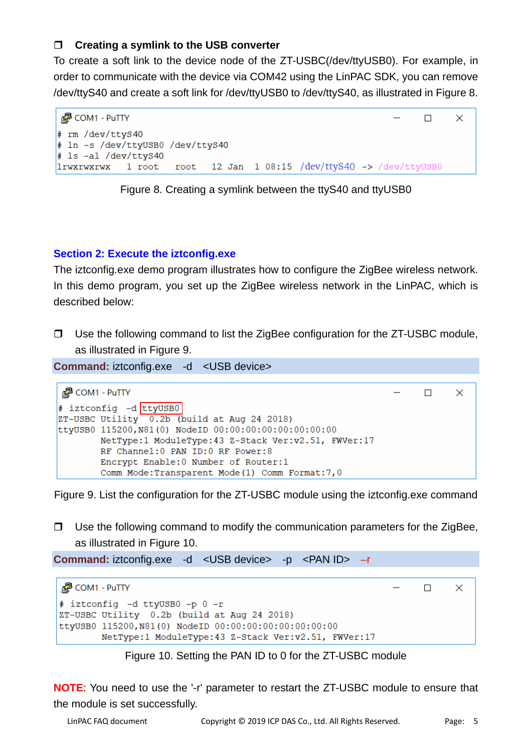## **Creating a symlink to the USB converter**

To create a soft link to the device node of the ZT-USBC(/dev/ttyUSB0). For example, in order to communicate with the device via COM42 using the LinPAC SDK, you can remove /dev/ttyS40 and create a soft link for /dev/ttyUSB0 to /dev/ttyS40, as illustrated in Figure 8.



Figure 8. Creating a symlink between the ttyS40 and ttyUSB0

## **Section 2: Execute the iztconfig.exe**

The iztconfig.exe demo program illustrates how to configure the ZigBee wireless network. In this demo program, you set up the ZigBee wireless network in the LinPAC, which is described below:

 $\Box$  Use the following command to list the ZigBee configuration for the ZT-USBC module, as illustrated in Figure 9.

**Command:** iztconfig.exe -d <USB device>



Figure 9. List the configuration for the ZT-USBC module using the iztconfig.exe command

 $\Box$  Use the following command to modify the communication parameters for the ZigBee, as illustrated in Figure 10.

**Command:** iztconfig.exe -d <USB device> -p <PAN ID> -r

```
#P COM1 - PuTTY
                                                                       \Box\times# iztconfig -d ttyUSB0 -p 0 -r
ZT-USBC Utility 0.2b (build at Aug 24 2018)
ttyUSB0 115200, N81(0) NodeID 00:00:00:00:00:00:00:00
        NetType:1 ModuleType:43 Z-Stack Ver:v2.51, FWVer:17
```
#### Figure 10. Setting the PAN ID to 0 for the ZT-USBC module

**NOTE**: You need to use the '-r' parameter to restart the ZT-USBC module to ensure that the module is set successfully.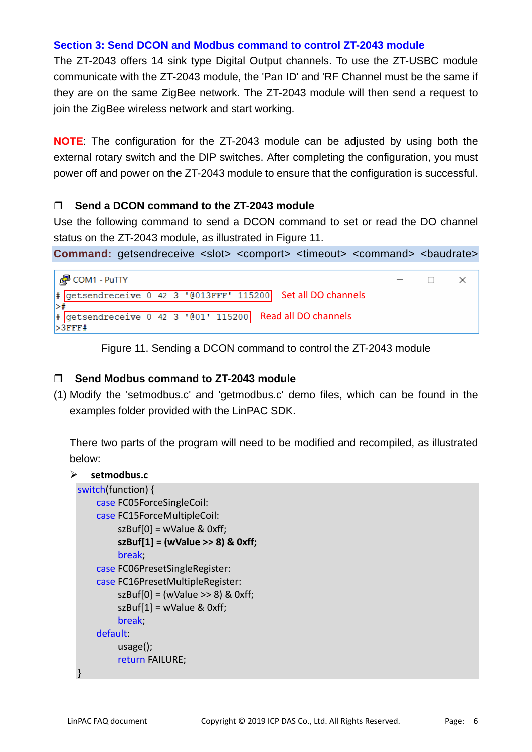#### **Section 3: Send DCON and Modbus command to control ZT-2043 module**

The ZT-2043 offers 14 sink type Digital Output channels. To use the ZT-USBC module communicate with the ZT-2043 module, the 'Pan ID' and 'RF Channel must be the same if they are on the same ZigBee network. The ZT-2043 module will then send a request to join the ZigBee wireless network and start working.

**NOTE**: The configuration for the ZT-2043 module can be adjusted by using both the external rotary switch and the DIP switches. After completing the configuration, you must power off and power on the ZT-2043 module to ensure that the configuration is successful.

## **Send a DCON command to the ZT-2043 module**

Use the following command to send a DCON command to set or read the DO channel status on the ZT-2043 module, as illustrated in Figure 11.

**Command:** getsendreceive <slot> <comport> <timeout> <command> <br/> <br/>daudrate>



Figure 11. Sending a DCON command to control the ZT-2043 module

#### **Send Modbus command to ZT-2043 module**

(1) Modify the 'setmodbus.c' and 'getmodbus.c' demo files, which can be found in the examples folder provided with the LinPAC SDK.

There two parts of the program will need to be modified and recompiled, as illustrated below:

#### ¾ **setmodbus.c**

```
switch(function) {
    case FC05ForceSingleCoil:
    case FC15ForceMultipleCoil:
              szBuf[0] = wValue & 0xff;
              szBuf[1] = (wValue >> 8) & 0xff;
              break;
    case FC06PresetSingleRegister:
    case FC16PresetMultipleRegister:
          szBuf[0] = (wValue >> 8) & 0xff;
              szBuf[1] = wValue & 0xff;
              break;
    default:
              usage();
              return FAILURE;
}
```